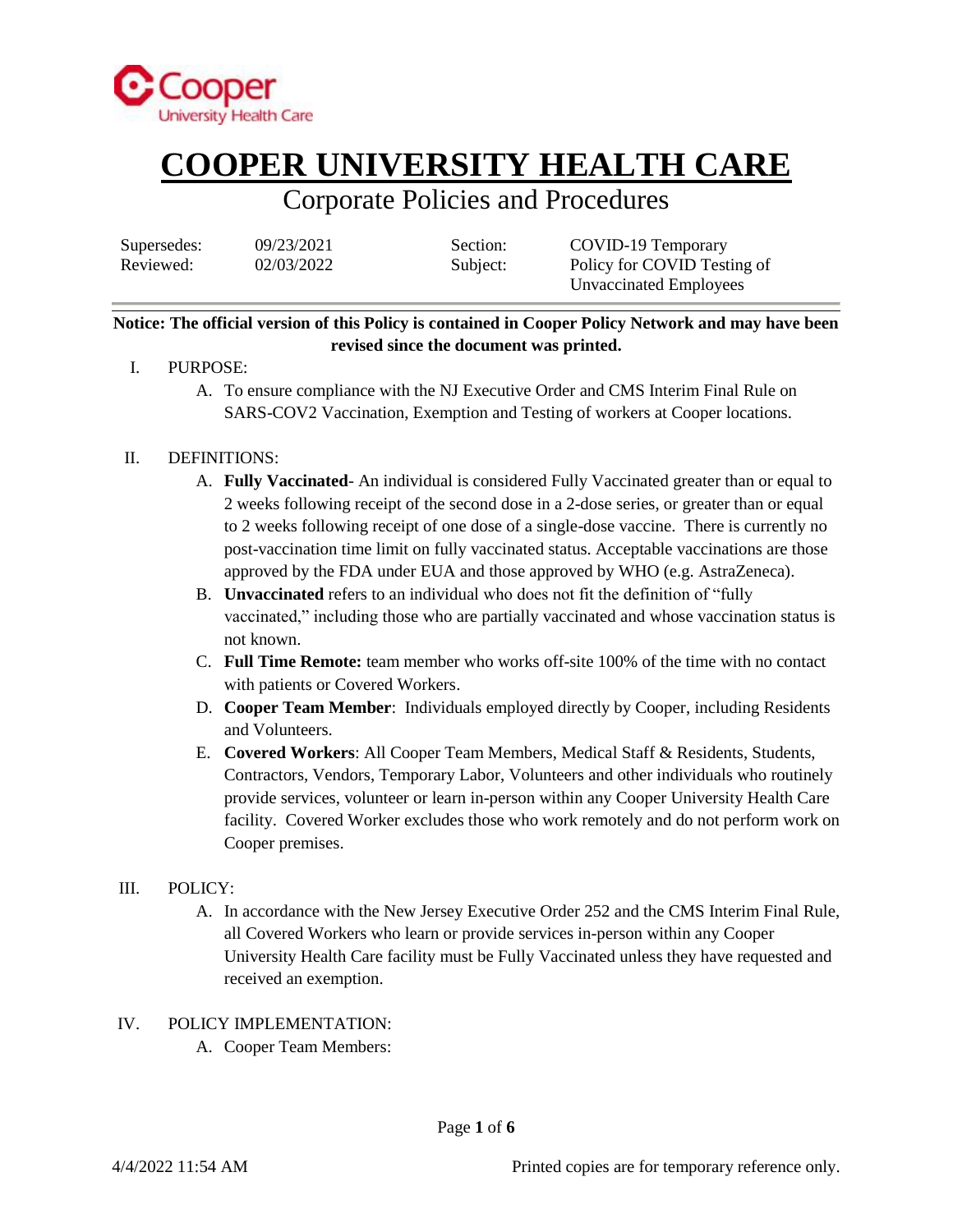

## Corporate Policies and Procedures

| Supersedes: | 09/23/2021 | Section: | COVID-19 Temporary          |
|-------------|------------|----------|-----------------------------|
| Reviewed:   | 02/03/2022 | Subject: | Policy for COVID Testing of |
|             |            |          | Unvaccinated Employees      |

### **Notice: The official version of this Policy is contained in Cooper Policy Network and may have been revised since the document was printed.**

- I. PURPOSE:
	- A. To ensure compliance with the NJ Executive Order and CMS Interim Final Rule on SARS-COV2 Vaccination, Exemption and Testing of workers at Cooper locations.

### II. DEFINITIONS:

- A. **Fully Vaccinated** An individual is considered Fully Vaccinated greater than or equal to 2 weeks following receipt of the second dose in a 2-dose series, or greater than or equal to 2 weeks following receipt of one dose of a single-dose vaccine. There is currently no post-vaccination time limit on fully vaccinated status. Acceptable vaccinations are those approved by the FDA under EUA and those approved by WHO (e.g. AstraZeneca).
- B. **Unvaccinated** refers to an individual who does not fit the definition of "fully vaccinated," including those who are partially vaccinated and whose vaccination status is not known.
- C. **Full Time Remote:** team member who works off-site 100% of the time with no contact with patients or Covered Workers.
- D. **Cooper Team Member**: Individuals employed directly by Cooper, including Residents and Volunteers.
- E. **Covered Workers**: All Cooper Team Members, Medical Staff & Residents, Students, Contractors, Vendors, Temporary Labor, Volunteers and other individuals who routinely provide services, volunteer or learn in-person within any Cooper University Health Care facility. Covered Worker excludes those who work remotely and do not perform work on Cooper premises.

### III. POLICY:

A. In accordance with the New Jersey Executive Order 252 and the CMS Interim Final Rule, all Covered Workers who learn or provide services in-person within any Cooper University Health Care facility must be Fully Vaccinated unless they have requested and received an exemption.

#### IV. POLICY IMPLEMENTATION:

A. Cooper Team Members: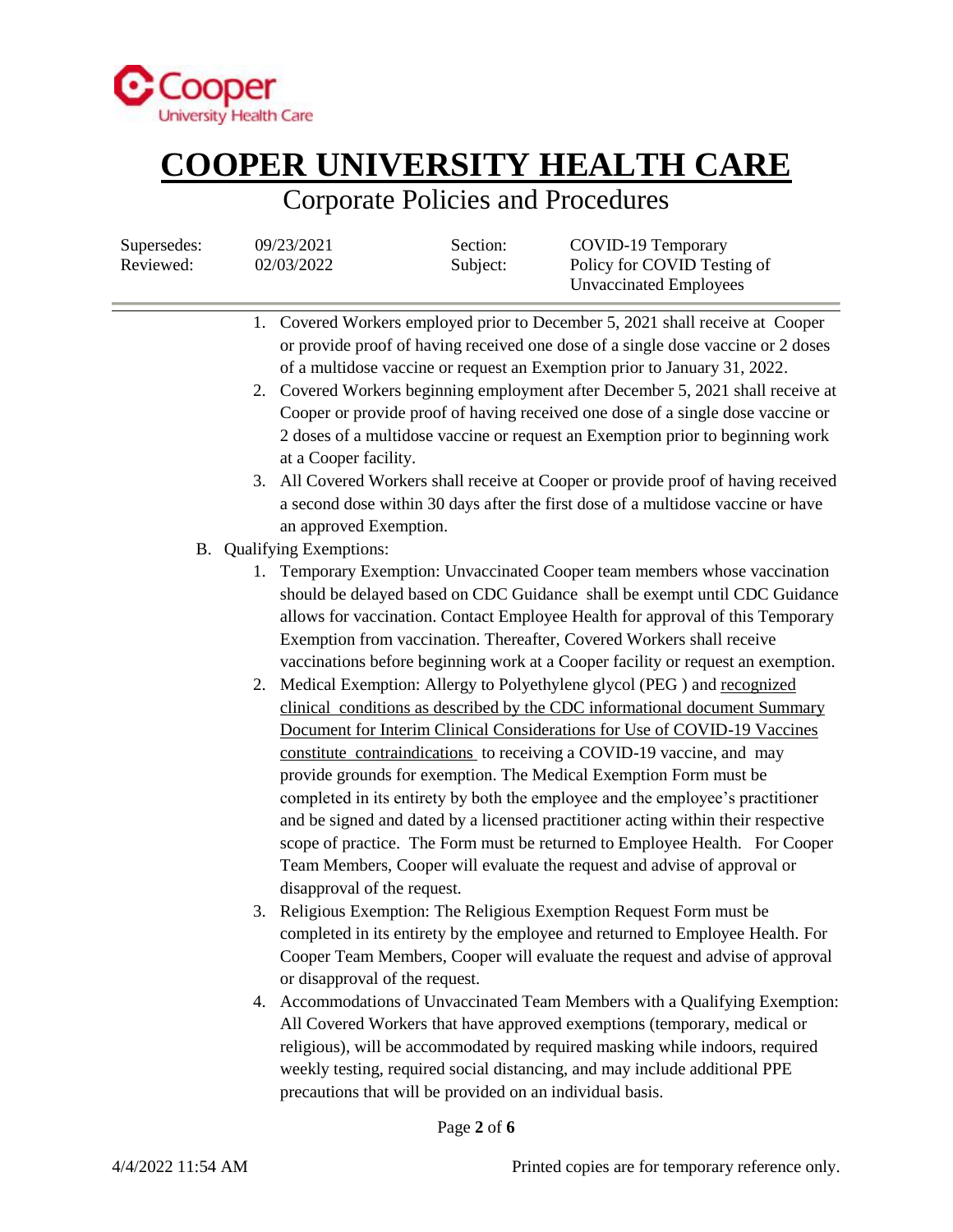

## Corporate Policies and Procedures

| Supersedes:<br>Reviewed: |    | 09/23/2021<br>02/03/2022                        | Section:<br>Subject:                                      | COVID-19 Temporary<br>Policy for COVID Testing of<br><b>Unvaccinated Employees</b>                                                                                                                                                                                                                                                                                                                                                                                                                                                                                                                                                                                                                                                                                                                                                                                                                                                                                                                                                                                                                                              |
|--------------------------|----|-------------------------------------------------|-----------------------------------------------------------|---------------------------------------------------------------------------------------------------------------------------------------------------------------------------------------------------------------------------------------------------------------------------------------------------------------------------------------------------------------------------------------------------------------------------------------------------------------------------------------------------------------------------------------------------------------------------------------------------------------------------------------------------------------------------------------------------------------------------------------------------------------------------------------------------------------------------------------------------------------------------------------------------------------------------------------------------------------------------------------------------------------------------------------------------------------------------------------------------------------------------------|
|                          |    | at a Cooper facility.<br>an approved Exemption. |                                                           | 1. Covered Workers employed prior to December 5, 2021 shall receive at Cooper<br>or provide proof of having received one dose of a single dose vaccine or 2 doses<br>of a multidose vaccine or request an Exemption prior to January 31, 2022.<br>2. Covered Workers beginning employment after December 5, 2021 shall receive at<br>Cooper or provide proof of having received one dose of a single dose vaccine or<br>2 doses of a multidose vaccine or request an Exemption prior to beginning work<br>3. All Covered Workers shall receive at Cooper or provide proof of having received<br>a second dose within 30 days after the first dose of a multidose vaccine or have                                                                                                                                                                                                                                                                                                                                                                                                                                                |
|                          |    | B. Qualifying Exemptions:                       |                                                           |                                                                                                                                                                                                                                                                                                                                                                                                                                                                                                                                                                                                                                                                                                                                                                                                                                                                                                                                                                                                                                                                                                                                 |
|                          |    | disapproval of the request.                     |                                                           | 1. Temporary Exemption: Unvaccinated Cooper team members whose vaccination<br>should be delayed based on CDC Guidance shall be exempt until CDC Guidance<br>allows for vaccination. Contact Employee Health for approval of this Temporary<br>Exemption from vaccination. Thereafter, Covered Workers shall receive<br>vaccinations before beginning work at a Cooper facility or request an exemption.<br>2. Medical Exemption: Allergy to Polyethylene glycol (PEG) and recognized<br>clinical conditions as described by the CDC informational document Summary<br>Document for Interim Clinical Considerations for Use of COVID-19 Vaccines<br>constitute contraindications to receiving a COVID-19 vaccine, and may<br>provide grounds for exemption. The Medical Exemption Form must be<br>completed in its entirety by both the employee and the employee's practitioner<br>and be signed and dated by a licensed practitioner acting within their respective<br>scope of practice. The Form must be returned to Employee Health. For Cooper<br>Team Members, Cooper will evaluate the request and advise of approval or |
|                          |    | or disapproval of the request.                  |                                                           | 3. Religious Exemption: The Religious Exemption Request Form must be<br>completed in its entirety by the employee and returned to Employee Health. For<br>Cooper Team Members, Cooper will evaluate the request and advise of approval                                                                                                                                                                                                                                                                                                                                                                                                                                                                                                                                                                                                                                                                                                                                                                                                                                                                                          |
|                          | 4. |                                                 | precautions that will be provided on an individual basis. | Accommodations of Unvaccinated Team Members with a Qualifying Exemption:<br>All Covered Workers that have approved exemptions (temporary, medical or<br>religious), will be accommodated by required masking while indoors, required<br>weekly testing, required social distancing, and may include additional PPE                                                                                                                                                                                                                                                                                                                                                                                                                                                                                                                                                                                                                                                                                                                                                                                                              |

Page **2** of **6**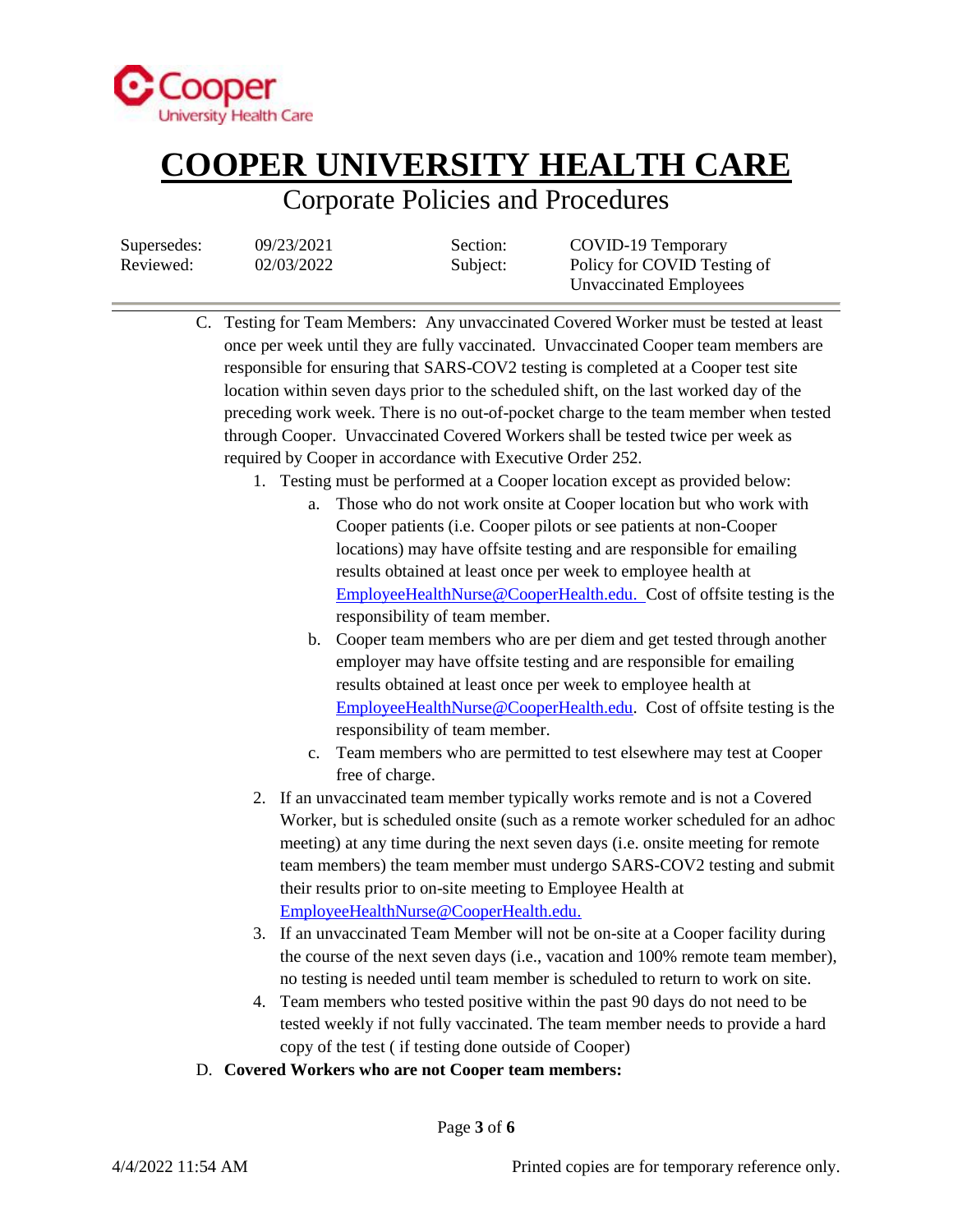

## Corporate Policies and Procedures

| Supersedes: | 09/23/2021 | Section: | COVID-19 Temporary          |
|-------------|------------|----------|-----------------------------|
| Reviewed:   | 02/03/2022 | Subject: | Policy for COVID Testing of |
|             |            |          | Unvaccinated Employees      |

- C. Testing for Team Members: Any unvaccinated Covered Worker must be tested at least once per week until they are fully vaccinated. Unvaccinated Cooper team members are responsible for ensuring that SARS-COV2 testing is completed at a Cooper test site location within seven days prior to the scheduled shift, on the last worked day of the preceding work week. There is no out-of-pocket charge to the team member when tested through Cooper. Unvaccinated Covered Workers shall be tested twice per week as required by Cooper in accordance with Executive Order 252.
	- 1. Testing must be performed at a Cooper location except as provided below:
		- a. Those who do not work onsite at Cooper location but who work with Cooper patients (i.e. Cooper pilots or see patients at non-Cooper locations) may have offsite testing and are responsible for emailing results obtained at least once per week to employee health at [EmployeeHealthNurse@CooperHealth.edu.](mailto:EmployeeHealthNurse@CooperHealth.edu) Cost of offsite testing is the responsibility of team member.
		- b. Cooper team members who are per diem and get tested through another employer may have offsite testing and are responsible for emailing results obtained at least once per week to employee health at [EmployeeHealthNurse@CooperHealth.edu.](mailto:EmployeeHealthNurse@CooperHealth.edu) Cost of offsite testing is the responsibility of team member.
		- c. Team members who are permitted to test elsewhere may test at Cooper free of charge.
	- 2. If an unvaccinated team member typically works remote and is not a Covered Worker, but is scheduled onsite (such as a remote worker scheduled for an adhoc meeting) at any time during the next seven days (i.e. onsite meeting for remote team members) the team member must undergo SARS-COV2 testing and submit their results prior to on-site meeting to Employee Health at [EmployeeHealthNurse@CooperHealth.edu.](mailto:EmployeeHealthNurse@CooperHealth.edu)
	- 3. If an unvaccinated Team Member will not be on-site at a Cooper facility during the course of the next seven days (i.e., vacation and 100% remote team member), no testing is needed until team member is scheduled to return to work on site.
	- 4. Team members who tested positive within the past 90 days do not need to be tested weekly if not fully vaccinated. The team member needs to provide a hard copy of the test ( if testing done outside of Cooper)
- D. **Covered Workers who are not Cooper team members:**

Page **3** of **6**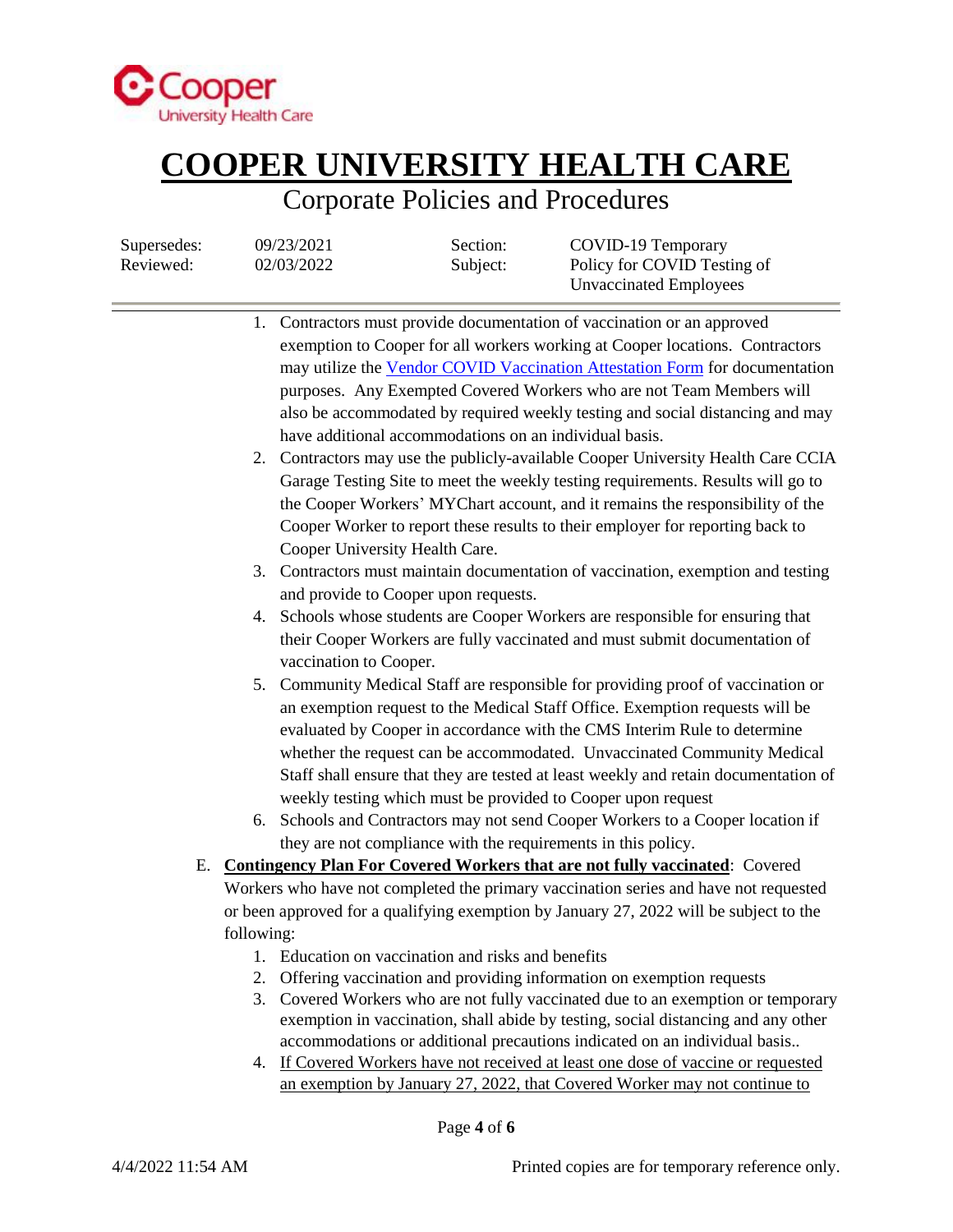

## Corporate Policies and Procedures

Supersedes:  $09/23/2021$  Section: COVID-19 Temporary

| Reviewed: |            | 02/03/2022                     | Subject:                                               | Policy for COVID Testing of<br><b>Unvaccinated Employees</b>                                                                                                                                                                                                                                                                                                                                                                                                                   |
|-----------|------------|--------------------------------|--------------------------------------------------------|--------------------------------------------------------------------------------------------------------------------------------------------------------------------------------------------------------------------------------------------------------------------------------------------------------------------------------------------------------------------------------------------------------------------------------------------------------------------------------|
|           |            |                                |                                                        | 1. Contractors must provide documentation of vaccination or an approved<br>exemption to Cooper for all workers working at Cooper locations. Contractors<br>may utilize the Vendor COVID Vaccination Attestation Form for documentation<br>purposes. Any Exempted Covered Workers who are not Team Members will<br>also be accommodated by required weekly testing and social distancing and may                                                                                |
|           |            | Cooper University Health Care. | have additional accommodations on an individual basis. | 2. Contractors may use the publicly-available Cooper University Health Care CCIA<br>Garage Testing Site to meet the weekly testing requirements. Results will go to<br>the Cooper Workers' MYChart account, and it remains the responsibility of the<br>Cooper Worker to report these results to their employer for reporting back to                                                                                                                                          |
|           |            |                                |                                                        | 3. Contractors must maintain documentation of vaccination, exemption and testing                                                                                                                                                                                                                                                                                                                                                                                               |
|           |            |                                | and provide to Cooper upon requests.                   |                                                                                                                                                                                                                                                                                                                                                                                                                                                                                |
|           |            | vaccination to Cooper.         |                                                        | 4. Schools whose students are Cooper Workers are responsible for ensuring that<br>their Cooper Workers are fully vaccinated and must submit documentation of                                                                                                                                                                                                                                                                                                                   |
|           |            |                                |                                                        | 5. Community Medical Staff are responsible for providing proof of vaccination or<br>an exemption request to the Medical Staff Office. Exemption requests will be<br>evaluated by Cooper in accordance with the CMS Interim Rule to determine<br>whether the request can be accommodated. Unvaccinated Community Medical<br>Staff shall ensure that they are tested at least weekly and retain documentation of<br>weekly testing which must be provided to Cooper upon request |
|           |            |                                |                                                        | 6. Schools and Contractors may not send Cooper Workers to a Cooper location if                                                                                                                                                                                                                                                                                                                                                                                                 |
|           |            |                                |                                                        | they are not compliance with the requirements in this policy.                                                                                                                                                                                                                                                                                                                                                                                                                  |
|           |            |                                |                                                        | E. Contingency Plan For Covered Workers that are not fully vaccinated: Covered<br>Workers who have not completed the primary vaccination series and have not requested                                                                                                                                                                                                                                                                                                         |
|           |            |                                |                                                        | or been approved for a qualifying exemption by January 27, 2022 will be subject to the                                                                                                                                                                                                                                                                                                                                                                                         |
|           | following: |                                |                                                        |                                                                                                                                                                                                                                                                                                                                                                                                                                                                                |
|           |            |                                | 1. Education on vaccination and risks and benefits     |                                                                                                                                                                                                                                                                                                                                                                                                                                                                                |
|           | 2.         |                                |                                                        | Offering vaccination and providing information on exemption requests                                                                                                                                                                                                                                                                                                                                                                                                           |
|           | 3.         |                                |                                                        | Covered Workers who are not fully vaccinated due to an exemption or temporary<br>exemption in vaccination, shall abide by testing, social distancing and any other<br>accommodations or additional precautions indicated on an individual basis                                                                                                                                                                                                                                |
|           |            |                                |                                                        | 4. If Covered Workers have not received at least one dose of vaccine or requested<br>an exemption by January 27, 2022, that Covered Worker may not continue to                                                                                                                                                                                                                                                                                                                 |

Page **4** of **6**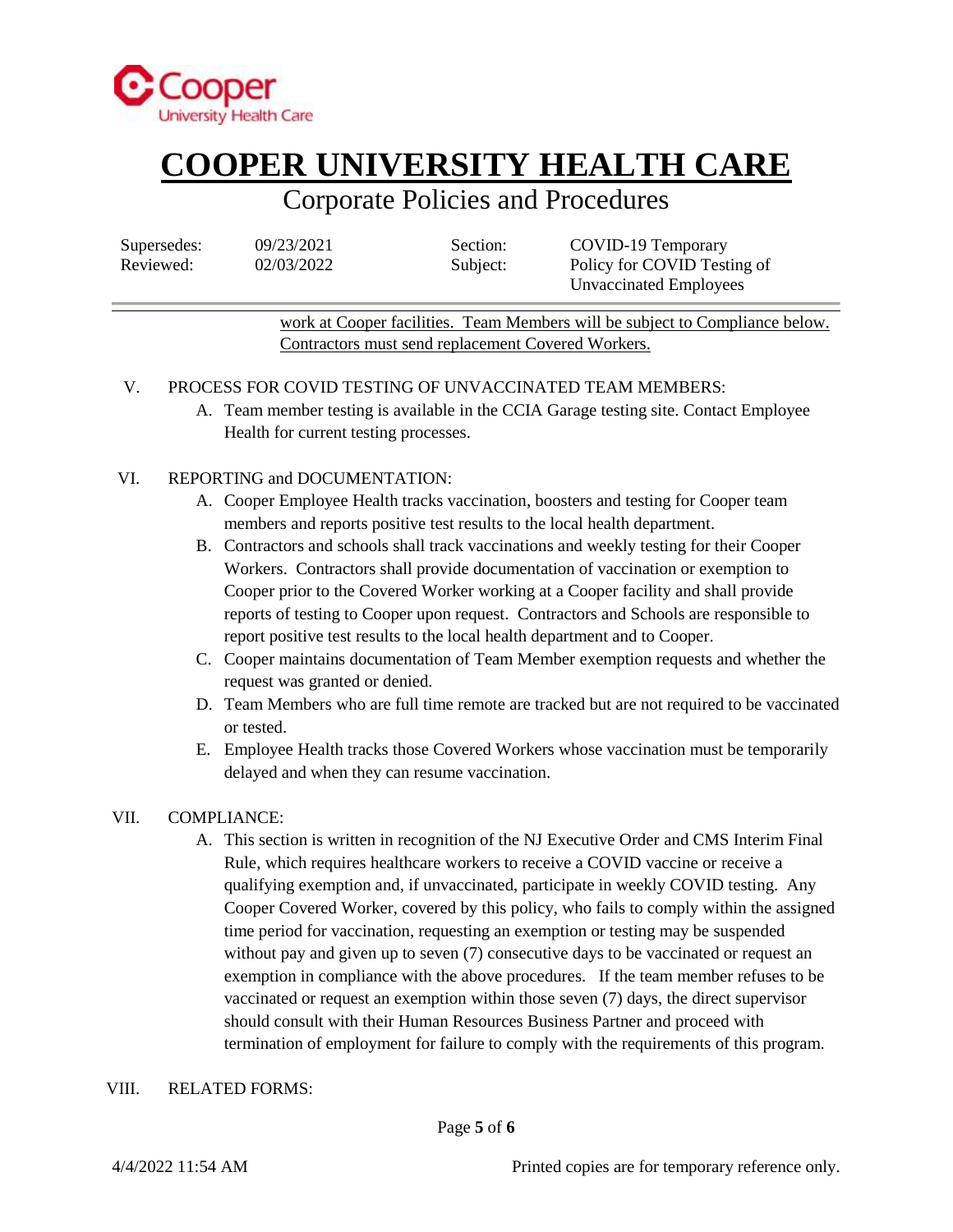

### Corporate Policies and Procedures

| Supersedes: |  |
|-------------|--|
| Reviewed:   |  |

| 09/23/2021 |  |
|------------|--|
| 02/03/2022 |  |

Section: COVID-19 Temporary Subject: Policy for COVID Testing of Unvaccinated Employees

work at Cooper facilities. Team Members will be subject to Compliance below. Contractors must send replacement Covered Workers.

### V. PROCESS FOR COVID TESTING OF UNVACCINATED TEAM MEMBERS:

A. Team member testing is available in the CCIA Garage testing site. Contact Employee Health for current testing processes.

### VI. REPORTING and DOCUMENTATION:

- A. Cooper Employee Health tracks vaccination, boosters and testing for Cooper team members and reports positive test results to the local health department.
- B. Contractors and schools shall track vaccinations and weekly testing for their Cooper Workers. Contractors shall provide documentation of vaccination or exemption to Cooper prior to the Covered Worker working at a Cooper facility and shall provide reports of testing to Cooper upon request. Contractors and Schools are responsible to report positive test results to the local health department and to Cooper.
- C. Cooper maintains documentation of Team Member exemption requests and whether the request was granted or denied.
- D. Team Members who are full time remote are tracked but are not required to be vaccinated or tested.
- E. Employee Health tracks those Covered Workers whose vaccination must be temporarily delayed and when they can resume vaccination.

### VII. COMPLIANCE:

A. This section is written in recognition of the NJ Executive Order and CMS Interim Final Rule, which requires healthcare workers to receive a COVID vaccine or receive a qualifying exemption and, if unvaccinated, participate in weekly COVID testing. Any Cooper Covered Worker, covered by this policy, who fails to comply within the assigned time period for vaccination, requesting an exemption or testing may be suspended without pay and given up to seven (7) consecutive days to be vaccinated or request an exemption in compliance with the above procedures. If the team member refuses to be vaccinated or request an exemption within those seven (7) days, the direct supervisor should consult with their Human Resources Business Partner and proceed with termination of employment for failure to comply with the requirements of this program.

#### VIII. RELATED FORMS: